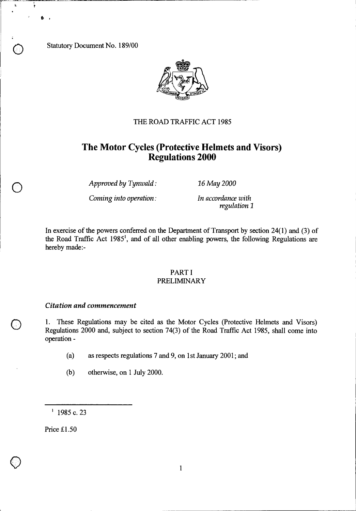Statutory Document No. 189/00

 $\mathbf{k}$ 



## THE ROAD TRAFFIC ACT 1985

# **The Motor Cycles (Protective Helmets and Visors) Regulations 2000**

*Approved by Tynwald : 16 May 2000* 

*Coming into operation : In accordance with* 

*regulation 1* 

In exercise of the powers conferred on the Department of Transport by section 24(1) and (3) of the Road Traffic Act 1985', and of all other enabling powers, the following Regulations are hereby made:-

#### PART I PRELIMINARY

#### *Citation and commencement*

<sup>1</sup>. These Regulations may be cited as the Motor Cycles (Protective Helmets and Visors)<br>Regulations 2000 and, subject to section 74(3) of the Road Traffic Act 1985, shall come into operation -

- (a) as respects regulations 7 and 9, on 1st January 2001; and
- (b) otherwise, on 1 July 2000.

 $1$  1985 c. 23

Price £1.50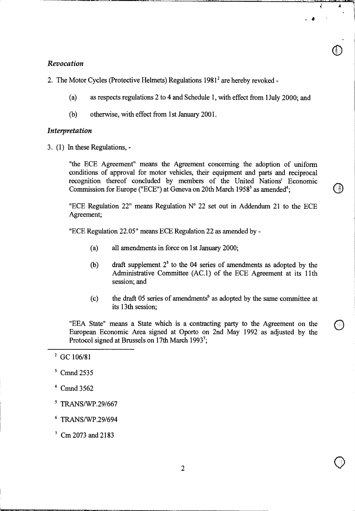## *Revocation*

(a) as respects regulations 2 to 4 and Schedule 1, with effect from 1July 2000; and

 $\bigcirc$ 

(b) otherwise, with effect from 1st January 2001.

# *Interpretation*

3. (1) In these Regulations, -

"the ECE Agreement" means the Agreement concerning the adoption of uniform conditions of approval for motor vehicles, their equipment and parts and reciprocal recognition thereof concluded by members of the United Nations' Economic Commission for Europe ("ECE") at Geneva on 20th March  $1958<sup>3</sup>$  as amended<sup>4</sup>;

"ECE Regulation 22" means Regulation  $N^{\circ}$  22 set out in Addendum 21 to the ECE Agreement;

"ECE Regulation 22.05" means ECE Regulation 22 as amended by -

- (a) all amendments in force on 1st January 2000;
- (b) draft supplement  $2<sup>5</sup>$  to the 04 series of amendments as adopted by the Administrative Committee (AC.1) of the ECE Agreement at its 11th session; and
- (c) the draft 05 series of amendments<sup>6</sup> as adopted by the same committee at its 13th session;

"EEA State" means a State which is a contracting party to the Agreement on the European Economic Area signed at Oporto on 2nd May 1992 as adjusted by the Protocol signed at Brussels on 17th March 1993';

- <sup>4</sup> Cmnd 3562
- $5$  TRANS/WP.29/667
- <sup>6</sup> TRANS/WP.29/694

 $^7$  Cm 2073 and 2183

 $2$  GC 106/81

<sup>&</sup>lt;sup>3</sup> Cmnd 2535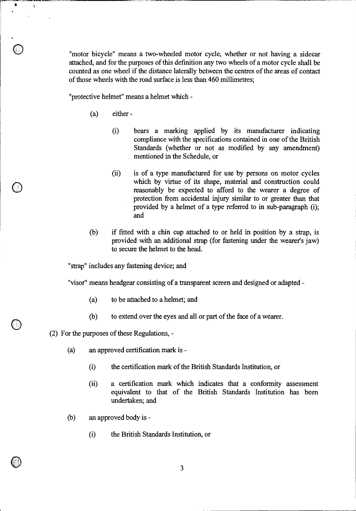"motor bicycle" means a two-wheeled motor cycle, whether or not having a sidecar attached, and for the purposes of this definition any two wheels of a motor cycle shall be counted as one wheel if the distance laterally between the centres of the areas of contact of those wheels with the road surface is less than 460 millimetres;

"protective helmet" means a helmet which -

- (a) either
	- (i) bears a marking applied by its manufacturer indicating compliance with the specifications contained in one of the British Standards (whether or not as modified by any amendment) mentioned in the Schedule, or
	- (ii) is of a type manufactured for use by persons on motor cycles which by virtue of its shape, material and construction could reasonably be expected to afford to the wearer a degree of protection from accidental injury similar to or greater than that provided by a helmet of a type referred to in sub-paragraph (i); and
- (b) if fitted with a chin cup attached to or held in position by a strap, is provided with an additional strap (for fastening under the wearer's jaw) to secure the helmet to the head.

"strap" includes any fastening device; and

"visor" means headgear consisting of a transparent screen and designed or adapted

- (a) to be attached to a helmet; and
- (b) to extend over the eyes and all or part of the face of a wearer.
- (2) For the purposes of these Regulations, -

0

 $\pmb{\ast}$ 

À

- (a) an approved certification mark is
	- $(i)$ the certification mark of the British Standards Institution, or
	- (ii) a certification mark which indicates that a conformity assessment equivalent to that of the British Standards Institution has been undertaken; and
- (b) an approved body is
	- (i) the British Standards Institution, or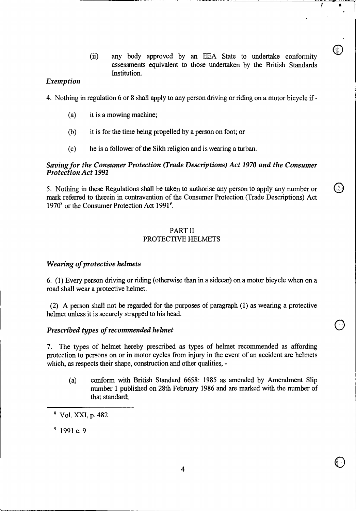(ii) any body approved by an EEA State to undertake conformity assessments equivalent to those undertaken by the British Standards Institution.

₹

## *Exemption*

- 4. Nothing in regulation 6 or 8 shall apply to any person driving or riding on a motor bicycle if
	- (a) it is a mowing machine;
	- (b) it is for the time being propelled by a person on foot; or
	- (c) he is a follower of the Sikh religion and is wearing a turban.

## *Saving for the Consumer Protection (Trade Descriptions) Act 1970 and the Consumer Protection Act 1991*

5. Nothing in these Regulations shall be taken to authorise any person to apply any number or mark referred to therein in contravention of the Consumer Protection (Trade Descriptions) Act 1970<sup>8</sup> or the Consumer Protection Act 1991<sup>9</sup>.

# PART II PROTECTIVE HELMETS

### *Wearing of protective helmets*

6. (1) Every person driving or riding (otherwise than in a sidecar) on a motor bicycle when on a road shall wear a protective helmet.

(2) A person shall not be regarded for the purposes of paragraph (1) as wearing a protective helmet unless it is securely strapped to his head.

### *Prescribed types of recommended helmet*

7. The types of helmet hereby prescribed as types of helmet recommended as affording protection to persons on or in motor cycles from injury in the event of an accident are helmets which, as respects their shape, construction and other qualities, -

(a) conform with British Standard 6658: 1985 as amended by Amendment Slip number 1 published on 28th February 1986 and are marked with the number of that standard;

 $8$  Vol. XXI, p. 482

 $91c.9$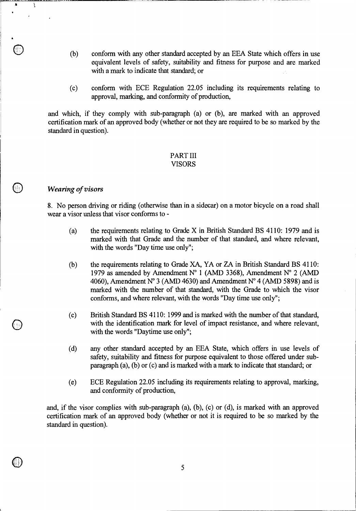- (b) conform with any other standard accepted by an EEA State which offers in use equivalent levels of safety, suitability and fitness for purpose and are marked with a mark to indicate that standard; or
- (c) conform with ECE Regulation 22.05 including its requirements relating to approval, marking, and conformity of production,

and which, if they comply with sub-paragraph (a) or (b), are marked with an approved certification mark of an approved body (whether or not they are required to be so marked by the standard in question).

#### PART III VISORS

### *Wearing of visors*

0

 $\pmb{\ast}$ 

Ĵ

8. No person driving or riding (otherwise than in a sidecar) on a motor bicycle on a road shall wear a visor unless that visor conforms to -

- (a) the requirements relating to Grade X in British Standard BS 4110: 1979 and is marked with that Grade and the number of that standard, and where relevant, with the words "Day time use only";
- (b) the requirements relating to Grade XA, YA or ZA in British Standard BS 4110: 1979 as amended by Amendment N° 1 (AMD 3368), Amendment N° 2 (AMD 4060), Amendment N° 3 (AMD 4630) and Amendment N° 4 (AMD 5898) and is marked with the number of that standard, with the Grade to which the visor conforms, and where relevant, with the words "Day time use only";
- (c) British Standard BS 4110: 1999 and is marked with the number of that standard, with the identification mark for level of impact resistance, and where relevant, with the words "Daytime use only";
- (d) any other standard accepted by an EEA State, which offers in use levels of safety, suitability and fitness for purpose equivalent to those offered under subparagraph (a), (b) or (c) and is marked with a mark to indicate that standard; or
- (e) ECE Regulation 22.05 including its requirements relating to approval, marking, and conformity of production,

and, if the visor complies with sub-paragraph (a), (b), (c) or (d), is marked with an approved certification mark of an approved body (whether or not it is required to be so marked by the standard in question).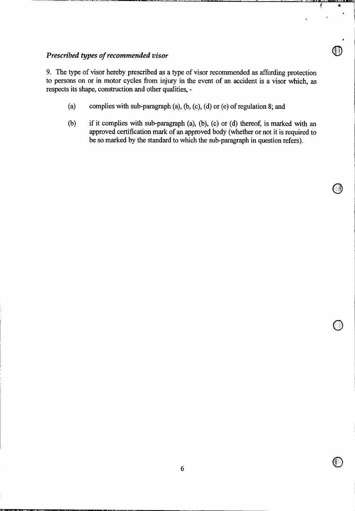# *Prescribed types of recommended visor*

9. The type of visor hereby prescribed as a type of visor recommended as affording protection to persons on or in motor cycles from injury in the event of an accident is a visor which, as respects its shape, construction and other qualities, -

- (a) complies with sub-paragraph (a), (b, (c), (d) or (e) of regulation 8; and
- (b) if it complies with sub-paragraph (a), (b), (c) or (d) thereof, is marked with an approved certification mark of an approved body (whether or not it is required to be so marked by the standard to which the sub-paragraph in question refers).

ţ

 $\bullet$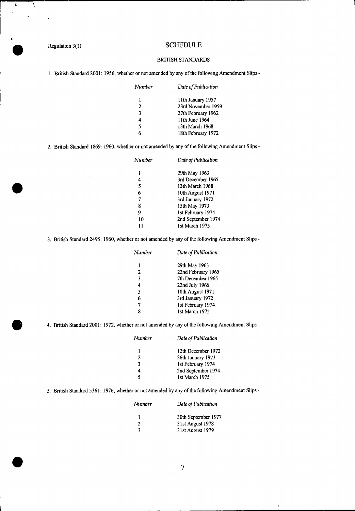*A* 

ļ

# Regulation 3(1) SCHEDULE

#### BRITISH STANDARDS

1. British Standard 2001: 1956, whether or not amended by any of the following Amendment Slips *-* 

| Number | Date of Publication |
|--------|---------------------|
| 1      | 11th January 1957   |
| 2      | 23rd November 1959  |
| 3      | 27th February 1962  |
| 4      | 11th June 1964      |
| 5      | 13th March 1968     |
|        | 18th February 1972  |

2. British Standard 1869: 1960, whether or not amended by any of the following Amendment Slips -

| Number | Date of Publication |
|--------|---------------------|
|        | 29th May 1963       |
| 4      | 3rd December 1965   |
| 5      | 13th March 1968     |
| 6      | 10th August 1971    |
| 7      | 3rd January 1972    |
| 8      | 15th May 1973       |
| 9      | 1st February 1974   |
| 10     | 2nd September 1974  |
|        | 1st March 1975      |

3. British Standard 2495: 1960, whether or not amended by any of the following Amendment Slips -

| Number       | Date of Publication |
|--------------|---------------------|
| 1            | 29th May 1963       |
| $\mathbf{2}$ | 22nd February 1965  |
| 3            | 7th December 1965   |
| 4            | 22nd July 1966      |
| 5            | 10th August 1971    |
| 6            | 3rd January 1972    |
| 7            | 1st February 1974   |
| ۹            | 1st March 1975      |

4. British Standard 2001: 1972, whether or not amended by any of the following Amendment Slips -

| Number | Date of Publication |
|--------|---------------------|
|        | 12th December 1972  |
| 2      | 26th January 1973   |
| 3      | 1st February 1974   |
| 4      | 2nd September 1974  |
| 5      | 1st March 1975      |

5. British Standard 5361: 1976, whether or not amended by any of the following Amendment Slips -

| Number | Date of Publication |
|--------|---------------------|
|        | 30th September 1977 |
| 2      | 31st August 1978    |
| 2      | 31st August 1979    |

 $\mathbf{r}$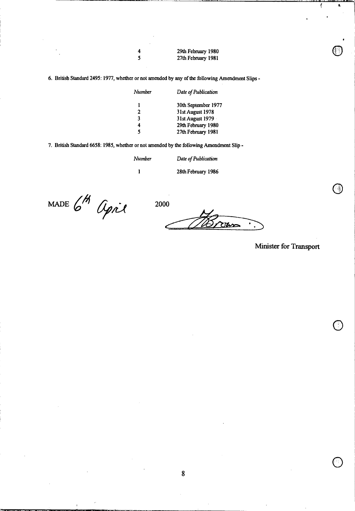| 4 | 29th February 1980 |  |
|---|--------------------|--|
| 5 | 27th February 1981 |  |

6. British Standard 2495: 1977, whether or not amended by any of the following Amendment Slips -

| Number | Date of Publication |
|--------|---------------------|
| ı      | 30th September 1977 |
| 2      | 31st August 1978    |
| 3      | 31st August 1979    |
| 4      | 29th February 1980  |
| ٢      | 27th February 1981  |
|        |                     |

7. British Standard 6658: 1985, whether or not amended by the following Amendment Slip *-* 

*Number Date of Publication*  1 28th February 1986

MADE 6<sup>H</sup> agril 2000

Uns

**Minister for Transport** 

sai

t,

ţ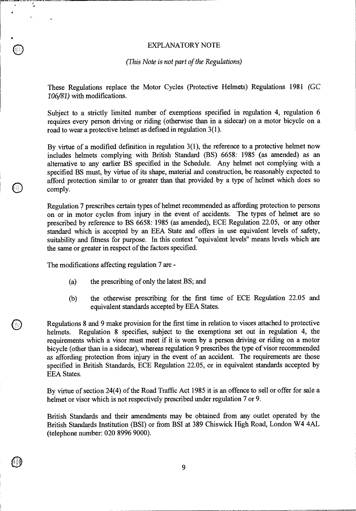## EXPLANATORY NOTE

#### *(This Note is not part of the Regulations)*

These Regulations replace the Motor Cycles (Protective Helmets) Regulations 1981 *(GC 106/81)* with modifications.

Subject to a strictly limited number of exemptions specified in regulation 4, regulation 6 requires every person driving or riding (otherwise than in a sidecar) on a motor bicycle on a road to wear a protective helmet as defined in regulation 3(1).

By virtue of a modified definition in regulation 3(1), the reference to a protective helmet now includes helmets complying with British Standard (BS) 6658: 1985 (as amended) as an alternative to any earlier BS specified in the Schedule. Any helmet not complying with a specified BS must, by virtue of its shape, material and construction, be reasonably expected to afford protection similar to or greater than that provided by a type of helmet which does so comply.

Regulation 7 prescribes certain types of helmet recommended as affording protection to persons on or in motor cycles from injury in the event of accidents. The types of helmet are so prescribed by reference to BS 6658: 1985 (as amended), ECE Regulation 22.05, or any other standard which is accepted by an EEA State and offers in use equivalent levels of safety, suitability and fitness for purpose. In this context "equivalent levels" means levels which are the same or greater in respect of the factors specified.

The modifications affecting regulation 7 are -

ł,

- (a) the prescribing of only the latest BS; and
- (b) the otherwise prescribing for the first time of ECE Regulation 22.05 and equivalent standards accepted by EEA States.

Regulations 8 and 9 make provision for the first time in relation to visors attached to protective helmets. Regulation 8 specifies, subject to the exemptions set out in regulation 4, the requirements which a visor must meet if it is worn by a person driving or riding on a motor bicycle (other than in a sidecar), whereas regulation 9 prescribes the type of visor recommended as affording protection from injury in the event of an accident. The requirements are those specified in British Standards, ECE Regulation 22.05, or in equivalent standards accepted by EEA States.

By virtue of section 24(4) of the Road Traffic Act 1985 it is an offence to sell or offer for sale a helmet or visor which is not respectively prescribed under regulation 7 or 9.

British Standards and their amendments may be obtained from any outlet operated by the British Standards Institution (BSI) or from BSI at 389 Chiswick High Road, London W4 4AL (telephone number: 020 8996 9000).

9